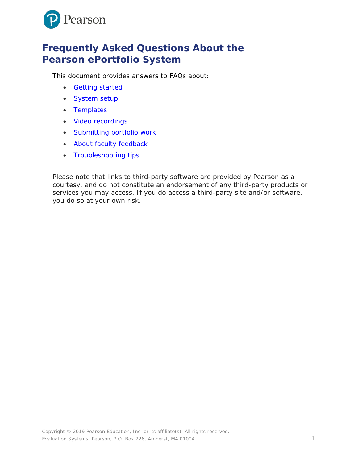

# **Frequently Asked Questions About the Pearson ePortfolio System**

This document provides answers to FAQs about:

- [Getting started](#page-1-0)
- [System setup](#page-2-0)
- [Templates](#page-3-0)
- [Video recordings](#page-3-1)
- [Submitting portfolio work](#page-6-0)
- [About faculty feedback](#page-6-1)
- [Troubleshooting tips](#page-7-0)

*Please note that links to third-party software are provided by Pearson as a courtesy, and do not constitute an endorsement of any third-party products or services you may access. If you do access a third-party site and/or software, you do so at your own risk.*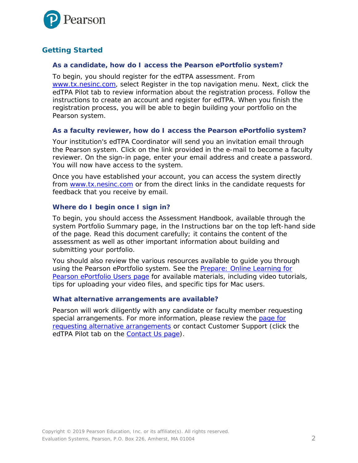

# <span id="page-1-0"></span>**Getting Started**

#### *As a candidate, how do I access the Pearson ePortfolio system?*

To begin, you should register for the edTPA assessment. From [www.tx.nesinc.com,](http://www.tx.nesinc.com/) select Register in the top navigation menu. Next, click the edTPA Pilot tab to review information about the registration process. Follow the instructions to create an account and register for edTPA. When you finish the registration process, you will be able to begin building your portfolio on the Pearson system.

#### *As a faculty reviewer, how do I access the Pearson ePortfolio system?*

Your institution's edTPA Coordinator will send you an invitation email through the Pearson system. Click on the link provided in the e-mail to become a faculty reviewer. On the sign-in page, enter your email address and create a password. You will now have access to the system.

Once you have established your account, you can access the system directly from [www.tx.nesinc.com](http://www.tx.nesinc.com/) or from the direct links in the candidate requests for feedback that you receive by email.

#### *Where do I begin once I sign in?*

To begin, you should access the Assessment Handbook, available through the system Portfolio Summary page, in the Instructions bar on the top left-hand side of the page. Read this document carefully; it contains the content of the assessment as well as other important information about building and submitting your portfolio.

You should also review the various resources available to guide you through using the Pearson ePortfolio system. See the [Prepare: Online Learning for](http://www.tx.nesinc.com/TestView.aspx?f=HTML_FRAG/edTPA_PrepMaterials.html)  [Pearson ePortfolio Users page](http://www.tx.nesinc.com/TestView.aspx?f=HTML_FRAG/edTPA_PrepMaterials.html) for available materials, including video tutorials, tips for uploading your video files, and specific tips for Mac users.

#### *What alternative arrangements are available?*

Pearson will work diligently with any candidate or faculty member requesting special arrangements. For more information, please review the page for [requesting alternative arrangements](http://www.tx.nesinc.com/TestView.aspx?f=GEN_RequestingAlternativeArrangements.html) or contact Customer Support (click the edTPA Pilot tab on the **Contact Us page**).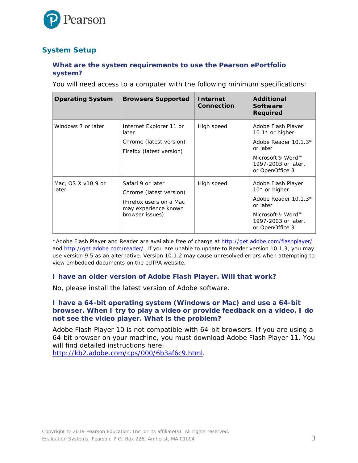

# <span id="page-2-0"></span>**System Setup**

## *What are the system requirements to use the Pearson ePortfolio system?*

You will need access to a computer with the following minimum specifications:

| <b>Operating System</b>     | <b>Browsers Supported</b>                                                                                          | <b>Internet</b><br><b>Connection</b> | <b>Additional</b><br><b>Software</b><br><b>Required</b>                                                                                                |
|-----------------------------|--------------------------------------------------------------------------------------------------------------------|--------------------------------------|--------------------------------------------------------------------------------------------------------------------------------------------------------|
| Windows 7 or later          | Internet Explorer 11 or<br>later<br>Chrome (latest version)<br>Firefox (latest version)                            | High speed                           | Adobe Flash Player<br>10.1 $*$ or higher<br>Adobe Reader 10.1.3*<br>or later<br>Microsoft <sup>®</sup> Word™<br>1997-2003 or later,<br>or OpenOffice 3 |
| Mac, OS X v10.9 or<br>later | Safari 9 or later<br>Chrome (latest version)<br>(Firefox users on a Mac<br>may experience known<br>browser issues) | High speed                           | Adobe Flash Player<br>10* or higher<br>Adobe Reader 10.1.3*<br>or later<br>Microsoft® Word™<br>1997-2003 or later,<br>or OpenOffice 3                  |

\*Adobe Flash Player and Reader are available free of charge at<http://get.adobe.com/flashplayer/> and [http://get.adobe.com/reader/.](http://get.adobe.com/reader/) If you are unable to update to Reader version 10.1.3, you may use version 9.5 as an alternative. Version 10.1.2 may cause unresolved errors when attempting to view embedded documents on the edTPA website.

#### *I have an older version of Adobe Flash Player. Will that work?*

No, please install the latest version of Adobe software.

#### *I have a 64-bit operating system (Windows or Mac) and use a 64-bit browser. When I try to play a video or provide feedback on a video, I do not see the video player. What is the problem?*

Adobe Flash Player 10 is not compatible with 64-bit browsers. If you are using a 64-bit browser on your machine, you must download Adobe Flash Player 11. You will find detailed instructions here:

[http://kb2.adobe.com/cps/000/6b3af6c9.html.](http://kb2.adobe.com/cps/000/6b3af6c9.html)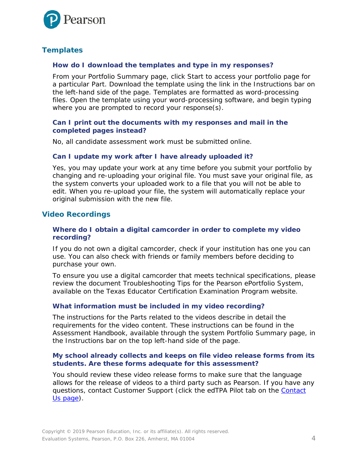

# <span id="page-3-0"></span>**Templates**

#### *How do I download the templates and type in my responses?*

From your Portfolio Summary page, click Start to access your portfolio page for a particular Part. Download the template using the link in the Instructions bar on the left-hand side of the page. Templates are formatted as word-processing files. Open the template using your word-processing software, and begin typing where you are prompted to record your response(s).

#### *Can I print out the documents with my responses and mail in the completed pages instead?*

No, all candidate assessment work must be submitted online.

#### *Can I update my work after I have already uploaded it?*

Yes, you may update your work at any time before you submit your portfolio by changing and re-uploading your original file. You must save your original file, as the system converts your uploaded work to a file that you will not be able to edit. When you re-upload your file, the system will automatically replace your original submission with the new file.

# <span id="page-3-1"></span>**Video Recordings**

#### *Where do I obtain a digital camcorder in order to complete my video recording?*

If you do not own a digital camcorder, check if your institution has one you can use. You can also check with friends or family members before deciding to purchase your own.

To ensure you use a digital camcorder that meets technical specifications, please review the document *Troubleshooting Tips for the Pearson ePortfolio System*, available on the Texas Educator Certification Examination Program website.

# *What information must be included in my video recording?*

The instructions for the Parts related to the videos describe in detail the requirements for the video content. These instructions can be found in the Assessment Handbook, available through the system Portfolio Summary page, in the Instructions bar on the top left-hand side of the page.

#### *My school already collects and keeps on file video release forms from its students. Are these forms adequate for this assessment?*

You should review these video release forms to make sure that the language allows for the release of videos to a third party such as Pearson. If you have any questions, contact Customer Support (click the edTPA Pilot tab on the [Contact](http://www.tx.nesinc.com/Contacts.aspx)  Us [page\)](http://www.tx.nesinc.com/Contacts.aspx).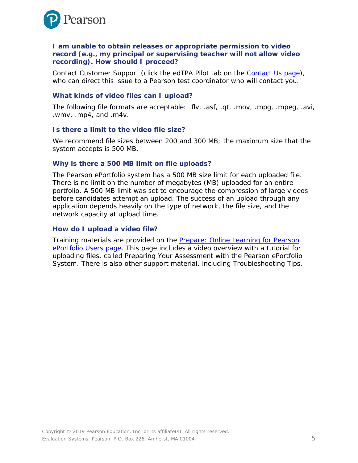

#### *I am unable to obtain releases or appropriate permission to video record (e.g., my principal or supervising teacher will not allow video recording). How should I proceed?*

Contact Customer Support (click the edTPA Pilot tab on the [Contact Us page\)](http://www.tx.nesinc.com/Contacts.aspx), who can direct this issue to a Pearson test coordinator who will contact you.

#### *What kinds of video files can I upload?*

The following file formats are acceptable: .flv, .asf, .qt, .mov, .mpg, .mpeg, .avi, .wmv, .mp4, and .m4v.

#### *Is there a limit to the video file size?*

We recommend file sizes between 200 and 300 MB; the maximum size that the system accepts is 500 MB.

#### *Why is there a 500 MB limit on file uploads?*

The Pearson ePortfolio system has a 500 MB size limit for each uploaded file. There is no limit on the number of megabytes (MB) uploaded for an entire portfolio. A 500 MB limit was set to encourage the compression of large videos before candidates attempt an upload. The success of an upload through any application depends heavily on the type of network, the file size, and the network capacity at upload time.

#### *How do I upload a video file?*

Training materials are provided on the [Prepare: Online Learning for Pearson](http://www.tx.nesinc.com/TestView.aspx?f=HTML_FRAG/edTPA_PrepMaterials.html)  [ePortfolio Users page.](http://www.tx.nesinc.com/TestView.aspx?f=HTML_FRAG/edTPA_PrepMaterials.html) This page includes a video overview with a tutorial for uploading files, called *Preparing Your Assessment with the Pearson ePortfolio System*. There is also other support material, including *Troubleshooting Tips*.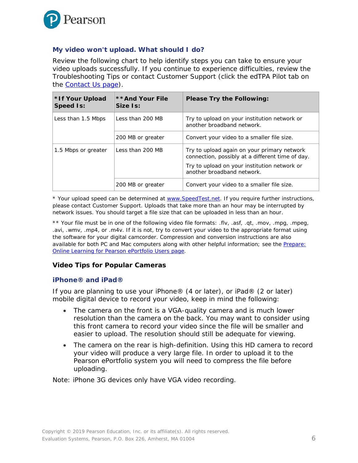

## <span id="page-5-0"></span>*My video won't upload. What should I do?*

Review the following chart to help identify steps you can take to ensure your video uploads successfully. If you continue to experience difficulties, review the *Troubleshooting Tips* or contact Customer Support (click the edTPA Pilot tab on the [Contact Us page\)](http://www.tx.nesinc.com/Contacts.aspx).

| *If Your Upload<br><b>Speed Is:</b> | **And Your File<br>Size Is: | <b>Please Try the Following:</b>                                                                |
|-------------------------------------|-----------------------------|-------------------------------------------------------------------------------------------------|
| Less than 1.5 Mbps                  | Less than 200 MB            | Try to upload on your institution network or<br>another broadband network.                      |
|                                     | 200 MB or greater           | Convert your video to a smaller file size.                                                      |
| 1.5 Mbps or greater                 | Less than 200 MB            | Try to upload again on your primary network<br>connection, possibly at a different time of day. |
|                                     |                             | Try to upload on your institution network or<br>another broadband network.                      |
|                                     | 200 MB or greater           | Convert your video to a smaller file size.                                                      |

\* Your upload speed can be determined at [www.SpeedTest.net.](http://www.speedtest.net/) If you require further instructions, please contact Customer Support. Uploads that take more than an hour may be interrupted by network issues. You should target a file size that can be uploaded in less than an hour.

\*\* Your file must be in one of the following video file formats: .flv, .asf, .qt, .mov, .mpg, .mpeg, .avi, .wmv, .mp4, or .m4v. If it is not, try to convert your video to the appropriate format using the software for your digital camcorder. Compression and conversion instructions are also available for both PC and Mac computers along with other helpful information; see the [Prepare:](http://www.tx.nesinc.com/TestView.aspx?f=HTML_FRAG/edTPA_PrepMaterials.html)  [Online Learning for Pearson ePortfolio Users page.](http://www.tx.nesinc.com/TestView.aspx?f=HTML_FRAG/edTPA_PrepMaterials.html)

#### **Video Tips for Popular Cameras**

#### *iPhone® and iPad®*

If you are planning to use your iPhone® (4 or later), or iPad® (2 or later) mobile digital device to record your video, keep in mind the following:

- The camera on the front is a VGA-quality camera and is much lower resolution than the camera on the back. You may want to consider using this front camera to record your video since the file will be smaller and easier to upload. The resolution should still be adequate for viewing.
- The camera on the rear is high-definition. Using this HD camera to record your video will produce a very large file. In order to upload it to the Pearson ePortfolio system you will need to compress the file before uploading.

Note: iPhone 3G devices only have VGA video recording.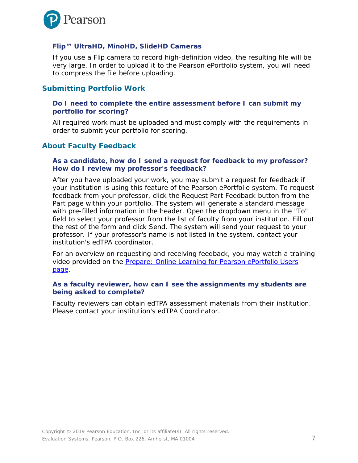

## *Flip™ UltraHD, MinoHD, SlideHD Cameras*

If you use a Flip camera to record high-definition video, the resulting file will be very large. In order to upload it to the Pearson ePortfolio system, you will need to compress the file before uploading.

# <span id="page-6-0"></span>**Submitting Portfolio Work**

#### *Do I need to complete the entire assessment before I can submit my portfolio for scoring?*

All required work must be uploaded and must comply with the requirements in order to submit your portfolio for scoring.

# <span id="page-6-1"></span>**About Faculty Feedback**

#### *As a candidate, how do I send a request for feedback to my professor? How do I review my professor's feedback?*

After you have uploaded your work, you may submit a request for feedback if your institution is using this feature of the Pearson ePortfolio system. To request feedback from your professor, click the Request Part Feedback button from the Part page within your portfolio. The system will generate a standard message with pre-filled information in the header. Open the dropdown menu in the "To" field to select your professor from the list of faculty from your institution. Fill out the rest of the form and click Send. The system will send your request to your professor. If your professor's name is not listed in the system, contact your institution's edTPA coordinator.

For an overview on requesting and receiving feedback, you may watch a training video provided on the [Prepare: Online Learning for Pearson ePortfolio Users](http://www.tx.nesinc.com/TestView.aspx?f=HTML_FRAG/edTPA_PrepMaterials.html)  [page.](http://www.tx.nesinc.com/TestView.aspx?f=HTML_FRAG/edTPA_PrepMaterials.html)

#### *As a faculty reviewer, how can I see the assignments my students are being asked to complete?*

Faculty reviewers can obtain edTPA assessment materials from their institution. Please contact your institution's edTPA Coordinator.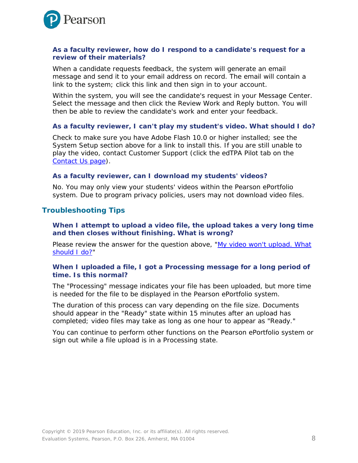

#### *As a faculty reviewer, how do I respond to a candidate's request for a review of their materials?*

When a candidate requests feedback, the system will generate an email message and send it to your email address on record. The email will contain a link to the system; click this link and then sign in to your account.

Within the system, you will see the candidate's request in your Message Center. Select the message and then click the Review Work and Reply button. You will then be able to review the candidate's work and enter your feedback.

#### *As a faculty reviewer, I can't play my student's video. What should I do?*

Check to make sure you have Adobe Flash 10.0 or higher installed; see the System Setup section above for a link to install this. If you are still unable to play the video, contact Customer Support (click the edTPA Pilot tab on the [Contact Us page\)](http://www.tx.nesinc.com/Contacts.aspx).

#### *As a faculty reviewer, can I download my students' videos?*

No. You may only view your students' videos within the Pearson ePortfolio system. Due to program privacy policies, users may not download video files.

#### <span id="page-7-0"></span>**Troubleshooting Tips**

#### *When I attempt to upload a video file, the upload takes a very long time and then closes without finishing. What is wrong?*

Please review the answer for the question above, ["My video won't upload. What](#page-5-0)  [should I do?"](#page-5-0)

#### When I uploaded a file, I got a Processing message for a long period of *time. Is this normal?*

The "Processing" message indicates your file has been uploaded, but more time is needed for the file to be displayed in the Pearson ePortfolio system.

The duration of this process can vary depending on the file size. Documents should appear in the "Ready" state within 15 minutes after an upload has completed; video files may take as long as one hour to appear as "Ready."

You can continue to perform other functions on the Pearson ePortfolio system or sign out while a file upload is in a Processing state.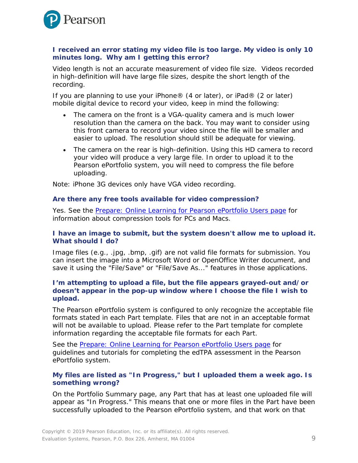

#### *I received an error stating my video file is too large. My video is only 10 minutes long. Why am I getting this error?*

Video length is not an accurate measurement of video file size. Videos recorded in high-definition will have large file sizes, despite the short length of the recording.

If you are planning to use your iPhone® (4 or later), or iPad® (2 or later) mobile digital device to record your video, keep in mind the following:

- The camera on the front is a VGA-quality camera and is much lower resolution than the camera on the back. You may want to consider using this front camera to record your video since the file will be smaller and easier to upload. The resolution should still be adequate for viewing.
- The camera on the rear is high-definition. Using this HD camera to record your video will produce a very large file. In order to upload it to the Pearson ePortfolio system, you will need to compress the file before uploading.

Note: iPhone 3G devices only have VGA video recording.

#### *Are there any free tools available for video compression?*

Yes. See the [Prepare: Online Learning for Pearson ePortfolio Users page](http://www.tx.nesinc.com/TestView.aspx?f=HTML_FRAG/edTPA_PrepMaterials.html) for information about compression tools for PCs and Macs.

#### *I have an image to submit, but the system doesn't allow me to upload it. What should I do?*

Image files (e.g., .jpg, .bmp, .gif) are not valid file formats for submission. You can insert the image into a Microsoft Word or OpenOffice Writer document, and save it using the "File/Save" or "File/Save As..." features in those applications.

#### *I'm attempting to upload a file, but the file appears grayed-out and/or doesn't appear in the pop-up window where I choose the file I wish to upload.*

The Pearson ePortfolio system is configured to only recognize the acceptable file formats stated in each Part template. Files that are not in an acceptable format will not be available to upload. Please refer to the Part template for complete information regarding the acceptable file formats for each Part.

See the [Prepare: Online Learning for Pearson ePortfolio Users page](http://www.tx.nesinc.com/TestView.aspx?f=HTML_FRAG/edTPA_PrepMaterials.html) for guidelines and tutorials for completing the edTPA assessment in the Pearson ePortfolio system.

#### *My files are listed as "In Progress," but I uploaded them a week ago. Is something wrong?*

On the Portfolio Summary page, any Part that has at least one uploaded file will appear as "In Progress." This means that one or more files in the Part have been successfully uploaded to the Pearson ePortfolio system, and that work on that